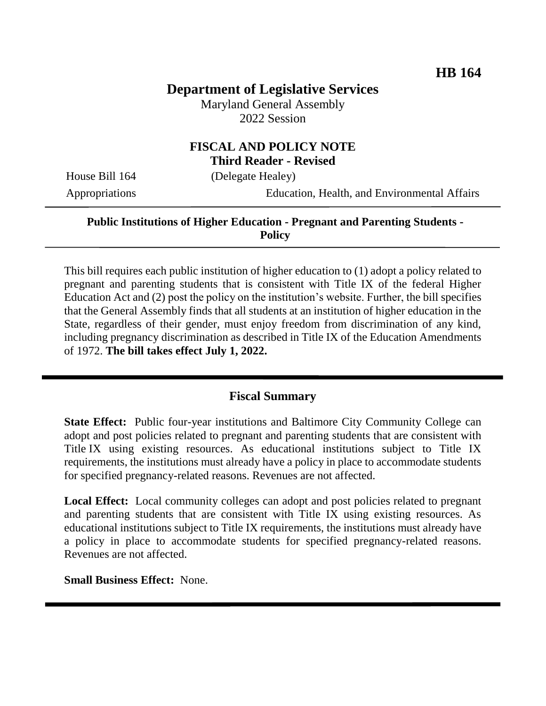# **Department of Legislative Services**

Maryland General Assembly 2022 Session

## **FISCAL AND POLICY NOTE Third Reader - Revised**

House Bill 164 (Delegate Healey)

Appropriations Education, Health, and Environmental Affairs

#### **Public Institutions of Higher Education - Pregnant and Parenting Students - Policy**

This bill requires each public institution of higher education to (1) adopt a policy related to pregnant and parenting students that is consistent with Title IX of the federal Higher Education Act and (2) post the policy on the institution's website. Further, the bill specifies that the General Assembly finds that all students at an institution of higher education in the State, regardless of their gender, must enjoy freedom from discrimination of any kind, including pregnancy discrimination as described in Title IX of the Education Amendments of 1972. **The bill takes effect July 1, 2022.**

## **Fiscal Summary**

**State Effect:** Public four-year institutions and Baltimore City Community College can adopt and post policies related to pregnant and parenting students that are consistent with Title IX using existing resources. As educational institutions subject to Title IX requirements, the institutions must already have a policy in place to accommodate students for specified pregnancy-related reasons. Revenues are not affected.

**Local Effect:** Local community colleges can adopt and post policies related to pregnant and parenting students that are consistent with Title IX using existing resources. As educational institutions subject to Title IX requirements, the institutions must already have a policy in place to accommodate students for specified pregnancy-related reasons. Revenues are not affected.

**Small Business Effect:** None.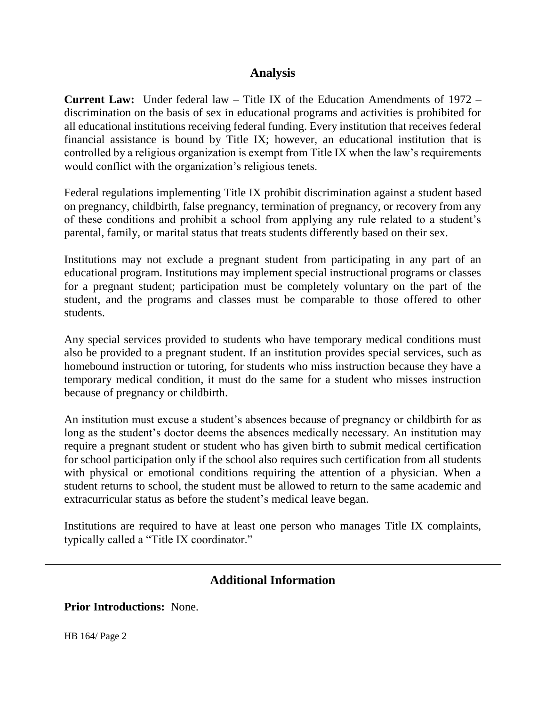#### **Analysis**

**Current Law:** Under federal law – Title IX of the Education Amendments of 1972 – discrimination on the basis of sex in educational programs and activities is prohibited for all educational institutions receiving federal funding. Every institution that receives federal financial assistance is bound by Title IX; however, an educational institution that is controlled by a religious organization is exempt from Title IX when the law's requirements would conflict with the organization's religious tenets.

Federal regulations implementing Title IX prohibit discrimination against a student based on pregnancy, childbirth, false pregnancy, termination of pregnancy, or recovery from any of these conditions and prohibit a school from applying any rule related to a student's parental, family, or marital status that treats students differently based on their sex.

Institutions may not exclude a pregnant student from participating in any part of an educational program. Institutions may implement special instructional programs or classes for a pregnant student; participation must be completely voluntary on the part of the student, and the programs and classes must be comparable to those offered to other students.

Any special services provided to students who have temporary medical conditions must also be provided to a pregnant student. If an institution provides special services, such as homebound instruction or tutoring, for students who miss instruction because they have a temporary medical condition, it must do the same for a student who misses instruction because of pregnancy or childbirth.

An institution must excuse a student's absences because of pregnancy or childbirth for as long as the student's doctor deems the absences medically necessary. An institution may require a pregnant student or student who has given birth to submit medical certification for school participation only if the school also requires such certification from all students with physical or emotional conditions requiring the attention of a physician. When a student returns to school, the student must be allowed to return to the same academic and extracurricular status as before the student's medical leave began.

Institutions are required to have at least one person who manages Title IX complaints, typically called a "Title IX coordinator."

## **Additional Information**

**Prior Introductions:** None.

HB 164/ Page 2